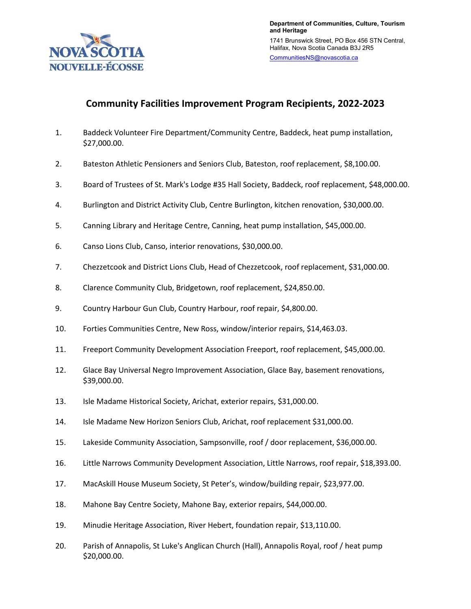

## **Community Facilities Improvement Program Recipients, 2022-2023**

- 1. Baddeck Volunteer Fire Department/Community Centre, Baddeck, heat pump installation, \$27,000.00.
- 2. Bateston Athletic Pensioners and Seniors Club, Bateston, roof replacement, \$8,100.00.
- 3. Board of Trustees of St. Mark's Lodge #35 Hall Society, Baddeck, roof replacement, \$48,000.00.
- 4. Burlington and District Activity Club, Centre Burlington, kitchen renovation, \$30,000.00.
- 5. Canning Library and Heritage Centre, Canning, heat pump installation, \$45,000.00.
- 6. Canso Lions Club, Canso, interior renovations, \$30,000.00.
- 7. Chezzetcook and District Lions Club, Head of Chezzetcook, roof replacement, \$31,000.00.
- 8. Clarence Community Club, Bridgetown, roof replacement, \$24,850.00.
- 9. Country Harbour Gun Club, Country Harbour, roof repair, \$4,800.00.
- 10. Forties Communities Centre, New Ross, window/interior repairs, \$14,463.03.
- 11. Freeport Community Development Association Freeport, roof replacement, \$45,000.00.
- 12. Glace Bay Universal Negro Improvement Association, Glace Bay, basement renovations, \$39,000.00.
- 13. Isle Madame Historical Society, Arichat, exterior repairs, \$31,000.00.
- 14. Isle Madame New Horizon Seniors Club, Arichat, roof replacement \$31,000.00.
- 15. Lakeside Community Association, Sampsonville, roof / door replacement, \$36,000.00.
- 16. Little Narrows Community Development Association, Little Narrows, roof repair, \$18,393.00.
- 17. MacAskill House Museum Society, St Peter's, window/building repair, \$23,977.00.
- 18. Mahone Bay Centre Society, Mahone Bay, exterior repairs, \$44,000.00.
- 19. Minudie Heritage Association, River Hebert, foundation repair, \$13,110.00.
- 20. Parish of Annapolis, St Luke's Anglican Church (Hall), Annapolis Royal, roof / heat pump \$20,000.00.